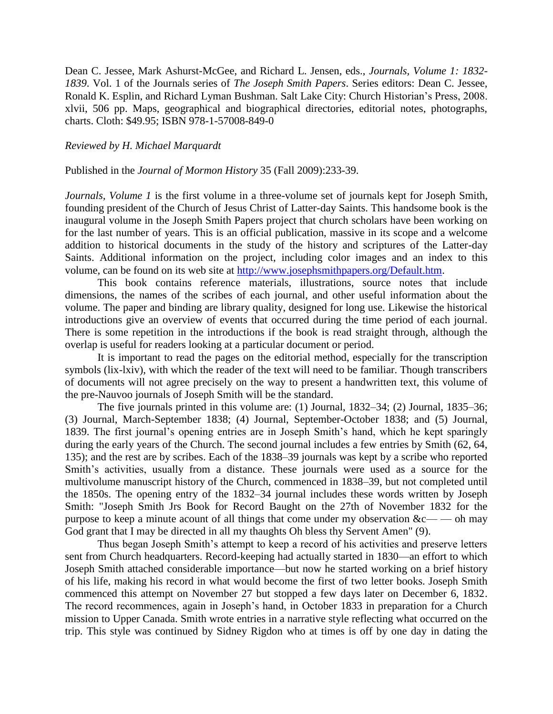Dean C. Jessee, Mark Ashurst-McGee, and Richard L. Jensen, eds., *Journals, Volume 1: 1832- 1839*. Vol. 1 of the Journals series of *The Joseph Smith Papers*. Series editors: Dean C. Jessee, Ronald K. Esplin, and Richard Lyman Bushman. Salt Lake City: Church Historian's Press, 2008. xlvii, 506 pp. Maps, geographical and biographical directories, editorial notes, photographs, charts. Cloth: \$49.95; ISBN 978-1-57008-849-0

## *Reviewed by H. Michael Marquardt*

Published in the *Journal of Mormon History* 35 (Fall 2009):233-39.

*Journals, Volume 1* is the first volume in a three-volume set of journals kept for Joseph Smith, founding president of the Church of Jesus Christ of Latter-day Saints. This handsome book is the inaugural volume in the Joseph Smith Papers project that church scholars have been working on for the last number of years. This is an official publication, massive in its scope and a welcome addition to historical documents in the study of the history and scriptures of the Latter-day Saints. Additional information on the project, including color images and an index to this volume, can be found on its web site at [http://www.josephsmithpapers.org/Default.htm.](http://www.josephsmithpapers.org/Default.htm)

This book contains reference materials, illustrations, source notes that include dimensions, the names of the scribes of each journal, and other useful information about the volume. The paper and binding are library quality, designed for long use. Likewise the historical introductions give an overview of events that occurred during the time period of each journal. There is some repetition in the introductions if the book is read straight through, although the overlap is useful for readers looking at a particular document or period.

It is important to read the pages on the editorial method, especially for the transcription symbols (lix-lxiv), with which the reader of the text will need to be familiar. Though transcribers of documents will not agree precisely on the way to present a handwritten text, this volume of the pre-Nauvoo journals of Joseph Smith will be the standard.

The five journals printed in this volume are: (1) Journal, 1832–34; (2) Journal, 1835–36; (3) Journal, March-September 1838; (4) Journal, September-October 1838; and (5) Journal, 1839. The first journal's opening entries are in Joseph Smith's hand, which he kept sparingly during the early years of the Church. The second journal includes a few entries by Smith (62, 64, 135); and the rest are by scribes. Each of the 1838–39 journals was kept by a scribe who reported Smith's activities, usually from a distance. These journals were used as a source for the multivolume manuscript history of the Church, commenced in 1838–39, but not completed until the 1850s. The opening entry of the 1832–34 journal includes these words written by Joseph Smith: "Joseph Smith Jrs Book for Record Baught on the 27th of November 1832 for the purpose to keep a minute acount of all things that come under my observation  $&c$ — oh may God grant that I may be directed in all my thaughts Oh bless thy Servent Amen" (9).

Thus began Joseph Smith's attempt to keep a record of his activities and preserve letters sent from Church headquarters. Record-keeping had actually started in 1830—an effort to which Joseph Smith attached considerable importance—but now he started working on a brief history of his life, making his record in what would become the first of two letter books. Joseph Smith commenced this attempt on November 27 but stopped a few days later on December 6, 1832. The record recommences, again in Joseph's hand, in October 1833 in preparation for a Church mission to Upper Canada. Smith wrote entries in a narrative style reflecting what occurred on the trip. This style was continued by Sidney Rigdon who at times is off by one day in dating the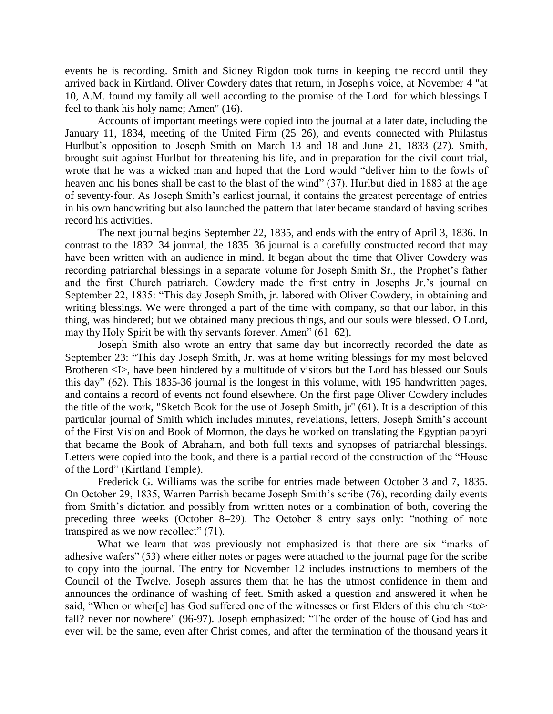events he is recording. Smith and Sidney Rigdon took turns in keeping the record until they arrived back in Kirtland. Oliver Cowdery dates that return, in Joseph's voice, at November 4 "at 10, A.M. found my family all well according to the promise of the Lord. for which blessings I feel to thank his holy name; Amen" (16).

Accounts of important meetings were copied into the journal at a later date, including the January 11, 1834, meeting of the United Firm (25–26), and events connected with Philastus Hurlbut's opposition to Joseph Smith on March 13 and 18 and June 21, 1833 (27). Smith, brought suit against Hurlbut for threatening his life, and in preparation for the civil court trial, wrote that he was a wicked man and hoped that the Lord would "deliver him to the fowls of heaven and his bones shall be cast to the blast of the wind" (37). Hurlbut died in 1883 at the age of seventy-four. As Joseph Smith's earliest journal, it contains the greatest percentage of entries in his own handwriting but also launched the pattern that later became standard of having scribes record his activities.

The next journal begins September 22, 1835, and ends with the entry of April 3, 1836. In contrast to the 1832–34 journal, the 1835–36 journal is a carefully constructed record that may have been written with an audience in mind. It began about the time that Oliver Cowdery was recording patriarchal blessings in a separate volume for Joseph Smith Sr., the Prophet's father and the first Church patriarch. Cowdery made the first entry in Josephs Jr.'s journal on September 22, 1835: "This day Joseph Smith, jr. labored with Oliver Cowdery, in obtaining and writing blessings. We were thronged a part of the time with company, so that our labor, in this thing, was hindered; but we obtained many precious things, and our souls were blessed. O Lord, may thy Holy Spirit be with thy servants forever. Amen"  $(61–62)$ .

Joseph Smith also wrote an entry that same day but incorrectly recorded the date as September 23: "This day Joseph Smith, Jr. was at home writing blessings for my most beloved Brotheren <I>, have been hindered by a multitude of visitors but the Lord has blessed our Souls this day"  $(62)$ . This 1835-36 journal is the longest in this volume, with 195 handwritten pages, and contains a record of events not found elsewhere. On the first page Oliver Cowdery includes the title of the work, "Sketch Book for the use of Joseph Smith, jr" (61). It is a description of this particular journal of Smith which includes minutes, revelations, letters, Joseph Smith's account of the First Vision and Book of Mormon, the days he worked on translating the Egyptian papyri that became the Book of Abraham, and both full texts and synopses of patriarchal blessings. Letters were copied into the book, and there is a partial record of the construction of the "House" of the Lord" (Kirtland Temple).

Frederick G. Williams was the scribe for entries made between October 3 and 7, 1835. On October 29, 1835, Warren Parrish became Joseph Smith's scribe (76), recording daily events from Smith's dictation and possibly from written notes or a combination of both, covering the preceding three weeks (October 8–29). The October 8 entry says only: "nothing of note transpired as we now recollect"  $(71)$ .

What we learn that was previously not emphasized is that there are six "marks of adhesive wafers" (53) where either notes or pages were attached to the journal page for the scribe to copy into the journal. The entry for November 12 includes instructions to members of the Council of the Twelve. Joseph assures them that he has the utmost confidence in them and announces the ordinance of washing of feet. Smith asked a question and answered it when he said, "When or wher[e] has God suffered one of the witnesses or first Elders of this church  $<$  to $>$ fall? never nor nowhere" (96-97). Joseph emphasized: "The order of the house of God has and ever will be the same, even after Christ comes, and after the termination of the thousand years it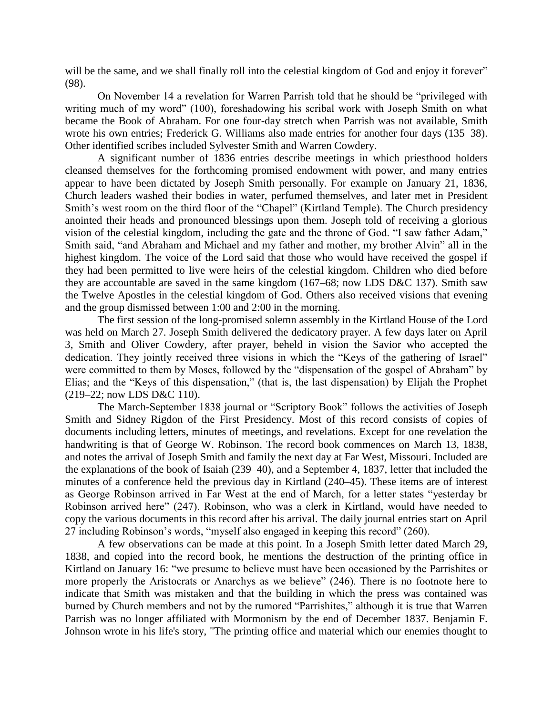will be the same, and we shall finally roll into the celestial kingdom of God and enjoy it forever" (98).

On November 14 a revelation for Warren Parrish told that he should be "privileged with writing much of my word" (100), foreshadowing his scribal work with Joseph Smith on what became the Book of Abraham. For one four-day stretch when Parrish was not available, Smith wrote his own entries; Frederick G. Williams also made entries for another four days (135–38). Other identified scribes included Sylvester Smith and Warren Cowdery.

A significant number of 1836 entries describe meetings in which priesthood holders cleansed themselves for the forthcoming promised endowment with power, and many entries appear to have been dictated by Joseph Smith personally. For example on January 21, 1836, Church leaders washed their bodies in water, perfumed themselves, and later met in President Smith's west room on the third floor of the "Chapel" (Kirtland Temple). The Church presidency anointed their heads and pronounced blessings upon them. Joseph told of receiving a glorious vision of the celestial kingdom, including the gate and the throne of God. "I saw father Adam," Smith said, "and Abraham and Michael and my father and mother, my brother Alvin" all in the highest kingdom. The voice of the Lord said that those who would have received the gospel if they had been permitted to live were heirs of the celestial kingdom. Children who died before they are accountable are saved in the same kingdom (167–68; now LDS D&C 137). Smith saw the Twelve Apostles in the celestial kingdom of God. Others also received visions that evening and the group dismissed between 1:00 and 2:00 in the morning.

The first session of the long-promised solemn assembly in the Kirtland House of the Lord was held on March 27. Joseph Smith delivered the dedicatory prayer. A few days later on April 3, Smith and Oliver Cowdery, after prayer, beheld in vision the Savior who accepted the dedication. They jointly received three visions in which the "Keys of the gathering of Israel" were committed to them by Moses, followed by the "dispensation of the gospel of Abraham" by Elias; and the "Keys of this dispensation," (that is, the last dispensation) by Elijah the Prophet (219–22; now LDS D&C 110).

The March-September 1838 journal or "Scriptory Book" follows the activities of Joseph Smith and Sidney Rigdon of the First Presidency. Most of this record consists of copies of documents including letters, minutes of meetings, and revelations. Except for one revelation the handwriting is that of George W. Robinson. The record book commences on March 13, 1838, and notes the arrival of Joseph Smith and family the next day at Far West, Missouri. Included are the explanations of the book of Isaiah (239–40), and a September 4, 1837, letter that included the minutes of a conference held the previous day in Kirtland (240–45). These items are of interest as George Robinson arrived in Far West at the end of March, for a letter states "yesterday br Robinson arrived here" (247). Robinson, who was a clerk in Kirtland, would have needed to copy the various documents in this record after his arrival. The daily journal entries start on April 27 including Robinson's words, "myself also engaged in keeping this record" (260).

A few observations can be made at this point. In a Joseph Smith letter dated March 29, 1838, and copied into the record book, he mentions the destruction of the printing office in Kirtland on January 16: "we presume to believe must have been occasioned by the Parrishites or more properly the Aristocrats or Anarchys as we believe" (246). There is no footnote here to indicate that Smith was mistaken and that the building in which the press was contained was burned by Church members and not by the rumored "Parrishites," although it is true that Warren Parrish was no longer affiliated with Mormonism by the end of December 1837. Benjamin F. Johnson wrote in his life's story, "The printing office and material which our enemies thought to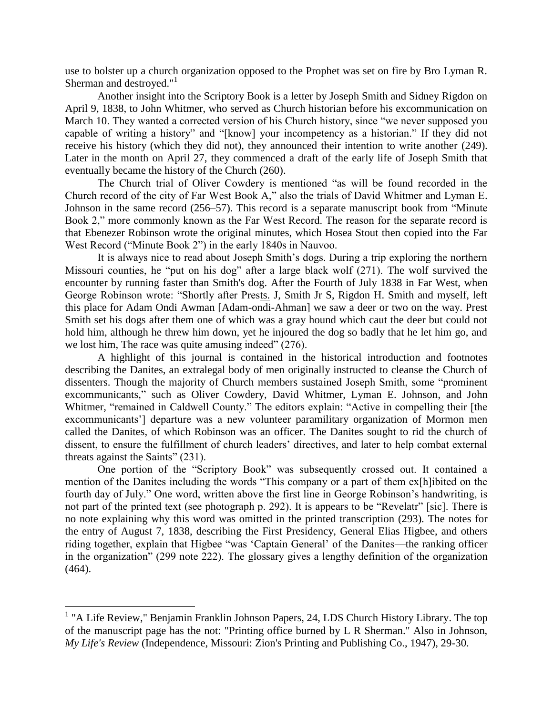use to bolster up a church organization opposed to the Prophet was set on fire by Bro Lyman R. Sherman and destroyed."<sup>1</sup>

Another insight into the Scriptory Book is a letter by Joseph Smith and Sidney Rigdon on April 9, 1838, to John Whitmer, who served as Church historian before his excommunication on March 10. They wanted a corrected version of his Church history, since "we never supposed you capable of writing a history" and "[know] your incompetency as a historian." If they did not receive his history (which they did not), they announced their intention to write another (249). Later in the month on April 27, they commenced a draft of the early life of Joseph Smith that eventually became the history of the Church (260).

The Church trial of Oliver Cowdery is mentioned "as will be found recorded in the Church record of the city of Far West Book A," also the trials of David Whitmer and Lyman E. Johnson in the same record  $(256–57)$ . This record is a separate manuscript book from "Minute" Book 2," more commonly known as the Far West Record. The reason for the separate record is that Ebenezer Robinson wrote the original minutes, which Hosea Stout then copied into the Far West Record ("Minute Book 2") in the early 1840s in Nauvoo.

It is always nice to read about Joseph Smith's dogs. During a trip exploring the northern Missouri counties, he "put on his dog" after a large black wolf  $(271)$ . The wolf survived the encounter by running faster than Smith's dog. After the Fourth of July 1838 in Far West, when George Robinson wrote: "Shortly after Prests. J, Smith Jr S, Rigdon H. Smith and myself, left this place for Adam Ondi Awman [Adam-ondi-Ahman] we saw a deer or two on the way. Prest Smith set his dogs after them one of which was a gray hound which caut the deer but could not hold him, although he threw him down, yet he injoured the dog so badly that he let him go, and we lost him, The race was quite amusing indeed"  $(276)$ .

A highlight of this journal is contained in the historical introduction and footnotes describing the Danites, an extralegal body of men originally instructed to cleanse the Church of dissenters. Though the majority of Church members sustained Joseph Smith, some "prominent" excommunicants," such as Oliver Cowdery, David Whitmer, Lyman E. Johnson, and John Whitmer, "remained in Caldwell County." The editors explain: "Active in compelling their [the excommunicants'] departure was a new volunteer paramilitary organization of Mormon men called the Danites, of which Robinson was an officer. The Danites sought to rid the church of dissent, to ensure the fulfillment of church leaders' directives, and later to help combat external threats against the Saints"  $(231)$ .

One portion of the "Scriptory Book" was subsequently crossed out. It contained a mention of the Danites including the words "This company or a part of them ex[h]ibited on the fourth day of July." One word, written above the first line in George Robinson's handwriting, is not part of the printed text (see photograph p. 292). It is appears to be "Revelatr" [sic]. There is no note explaining why this word was omitted in the printed transcription (293). The notes for the entry of August 7, 1838, describing the First Presidency, General Elias Higbee, and others riding together, explain that Higbee "was 'Captain General' of the Danites—the ranking officer in the organization" (299 note 222). The glossary gives a lengthy definition of the organization (464).

 $\overline{a}$ 

<sup>&</sup>lt;sup>1</sup> "A Life Review," Benjamin Franklin Johnson Papers, 24, LDS Church History Library. The top of the manuscript page has the not: "Printing office burned by L R Sherman." Also in Johnson, *My Life's Review* (Independence, Missouri: Zion's Printing and Publishing Co., 1947), 29-30.